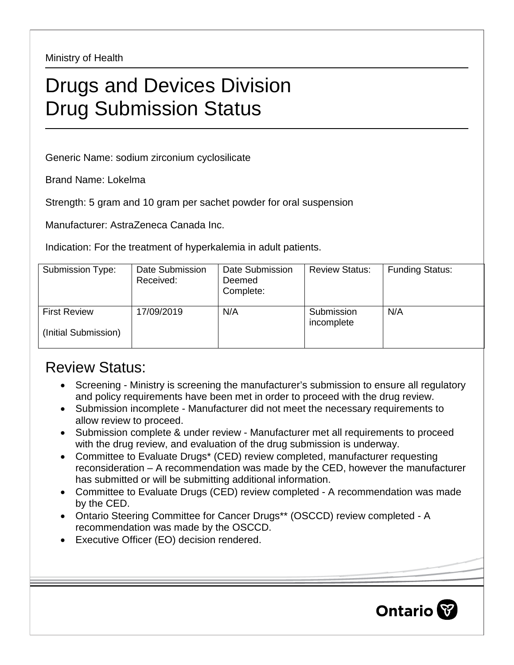Ministry of Health

## Drugs and Devices Division Drug Submission Status

Generic Name: sodium zirconium cyclosilicate

Brand Name: Lokelma

Strength: 5 gram and 10 gram per sachet powder for oral suspension

Manufacturer: AstraZeneca Canada Inc.

Indication: For the treatment of hyperkalemia in adult patients.

| Submission Type:                            | Date Submission<br>Received: | Date Submission<br>Deemed<br>Complete: | <b>Review Status:</b>    | <b>Funding Status:</b> |
|---------------------------------------------|------------------------------|----------------------------------------|--------------------------|------------------------|
| <b>First Review</b><br>(Initial Submission) | 17/09/2019                   | N/A                                    | Submission<br>incomplete | N/A                    |

## Review Status:

- Screening Ministry is screening the manufacturer's submission to ensure all regulatory and policy requirements have been met in order to proceed with the drug review.
- Submission incomplete Manufacturer did not meet the necessary requirements to allow review to proceed.
- Submission complete & under review Manufacturer met all requirements to proceed with the drug review, and evaluation of the drug submission is underway.
- Committee to Evaluate Drugs\* (CED) review completed, manufacturer requesting reconsideration – A recommendation was made by the CED, however the manufacturer has submitted or will be submitting additional information.
- Committee to Evaluate Drugs (CED) review completed A recommendation was made by the CED.
- Ontario Steering Committee for Cancer Drugs\*\* (OSCCD) review completed A recommendation was made by the OSCCD.
- Executive Officer (EO) decision rendered.